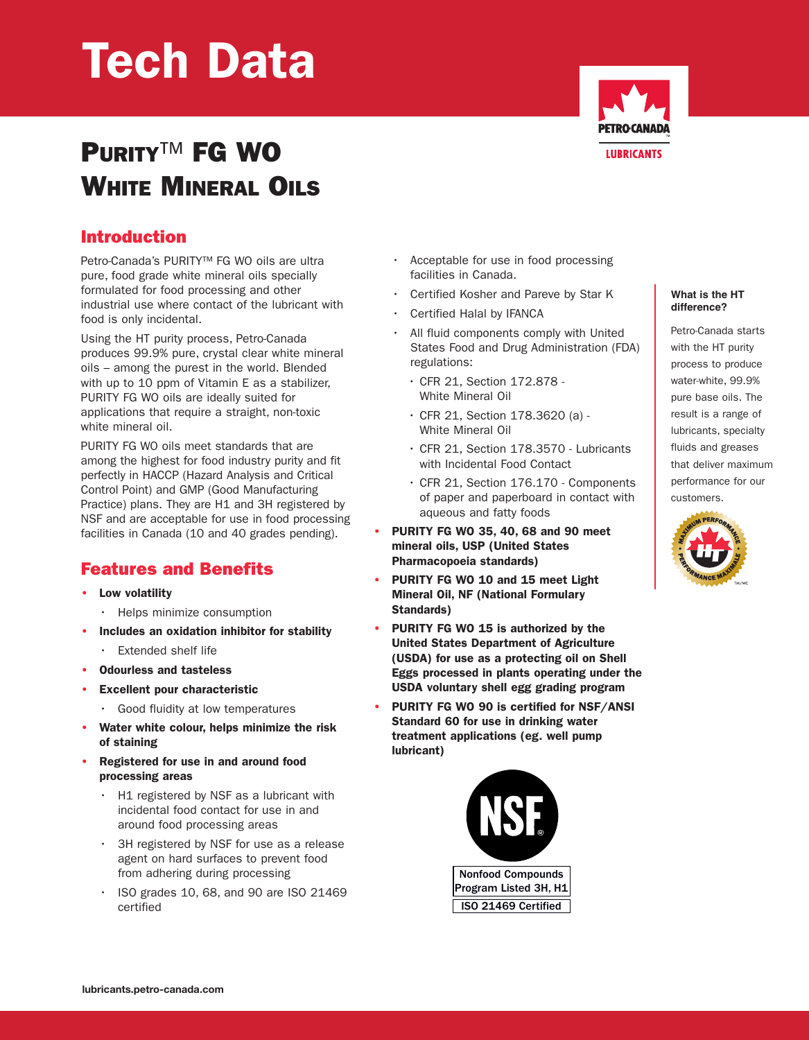# **Tech Data**

## **PURITY**™ **FG WO WHITE MINERAL OILS**



## **Introduction**

Petro-Canada's PURITY™ FG WO oils are ultra pure, food grade white mineral oils specially formulated for food processing and other industrial use where contact of the lubricant with food is only incidental.

Using the HT purity process, Petro-Canada produces 99.9% pure, crystal clear white mineral oils – among the purest in the world. Blended with up to 10 ppm of Vitamin E as a stabilizer, PURITY FG WO oils are ideally suited for applications that require a straight, non-toxic white mineral oil.

PURITY FG WO oils meet standards that are among the highest for food industry purity and fit perfectly in HACCP (Hazard Analysis and Critical Control Point) and GMP (Good Manufacturing Practice) plans. They are H1 and 3H registered by NSF and are acceptable for use in food processing facilities in Canada (10 and 40 grades pending).

## **Features and Benefits**

- **• Low volatility**
	- Helps minimize consumption
- **• Includes an oxidation inhibitor for stability**
	- **Extended shelf life**
- **• Odourless and tasteless**
- **• Excellent pour characteristic**
	- Good fluidity at low temperatures
- **• Water white colour, helps minimize the risk of staining**
- **• Registered for use in and around food processing areas**
	- H1 registered by NSF as a lubricant with incidental food contact for use in and around food processing areas
	- 3H registered by NSF for use as a release agent on hard surfaces to prevent food from adhering during processing
	- ISO grades 10, 68, and 90 are ISO 21469 certified
- Acceptable for use in food processing facilities in Canada.
- Certified Kosher and Pareve by Star K
- Certified Halal by IFANCA
- All fluid components comply with United States Food and Drug Administration (FDA) regulations:
	- CFR 21, Section 172.878 White Mineral Oil
	- CFR 21, Section 178.3620 (a) White Mineral Oil
	- CFR 21, Section 178.3570 Lubricants with Incidental Food Contact
	- CFR 21, Section 176.170 Components of paper and paperboard in contact with aqueous and fatty foods
- **• PURITY FG WO 35, 40, 68 and 90 meet mineral oils, USP (United States Pharmacopoeia standards)**
- **• PURITY FG WO 10 and 15 meet Light Mineral Oil, NF (National Formulary Standards)**
- **• PURITY FG WO 15 is authorized by the United States Department of Agriculture (USDA) for use as a protecting oil on Shell Eggs processed in plants operating under the USDA voluntary shell egg grading program**
- **• PURITY FG WO 90 is certified for NSF/ANSI Standard 60 for use in drinking water treatment applications (eg. well pump lubricant)**



#### **What is the HT difference?**

Petro-Canada starts with the HT purity process to produce water-white, 99.9% pure base oils. The result is a range of lubricants, specialty fluids and greases that deliver maximum performance for our customers.